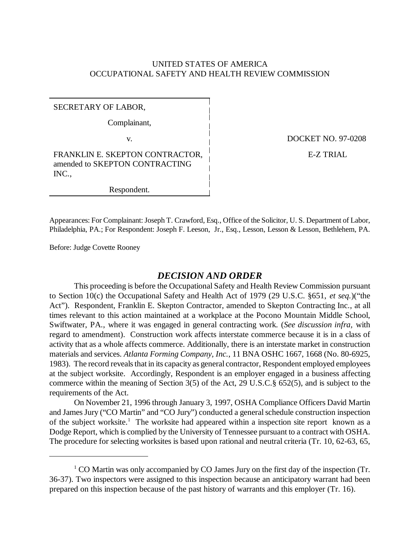# UNITED STATES OF AMERICA OCCUPATIONAL SAFETY AND HEALTH REVIEW COMMISSION

SECRETARY OF LABOR,

Complainant,

FRANKLIN E. SKEPTON CONTRACTOR, amended to SKEPTON CONTRACTING INC.,

Respondent.

v. DOCKET NO. 97-0208

E-Z TRIAL

Appearances: For Complainant: Joseph T. Crawford, Esq., Office of the Solicitor, U. S. Department of Labor, Philadelphia, PA.; For Respondent: Joseph F. Leeson, Jr., Esq., Lesson, Lesson & Lesson, Bethlehem, PA.

Before: Judge Covette Rooney

### *DECISION AND ORDER*

This proceeding is before the Occupational Safety and Health Review Commission pursuant to Section 10(c) the Occupational Safety and Health Act of 1979 (29 U.S.C. §651, *et seq.*)("the Act"). Respondent, Franklin E. Skepton Contractor, amended to Skepton Contracting Inc., at all times relevant to this action maintained at a workplace at the Pocono Mountain Middle School, Swiftwater, PA., where it was engaged in general contracting work. (*See discussion infra,* with regard to amendment). Construction work affects interstate commerce because it is in a class of activity that as a whole affects commerce. Additionally, there is an interstate market in construction materials and services. *Atlanta Forming Company, Inc.*, 11 BNA OSHC 1667, 1668 (No. 80-6925, 1983). The record reveals that in its capacity as general contractor, Respondent employed employees at the subject worksite. Accordingly, Respondent is an employer engaged in a business affecting commerce within the meaning of Section 3(5) of the Act, 29 U.S.C.§ 652(5), and is subject to the requirements of the Act.

On November 21, 1996 through January 3, 1997, OSHA Compliance Officers David Martin and James Jury ("CO Martin" and "CO Jury") conducted a general schedule construction inspection of the subject worksite.<sup>1</sup> The worksite had appeared within a inspection site report known as a Dodge Report, which is complied by the University of Tennessee pursuant to a contract with OSHA. The procedure for selecting worksites is based upon rational and neutral criteria (Tr. 10, 62-63, 65,

<sup>&</sup>lt;sup>1</sup> CO Martin was only accompanied by CO James Jury on the first day of the inspection (Tr. 36-37). Two inspectors were assigned to this inspection because an anticipatory warrant had been prepared on this inspection because of the past history of warrants and this employer (Tr. 16).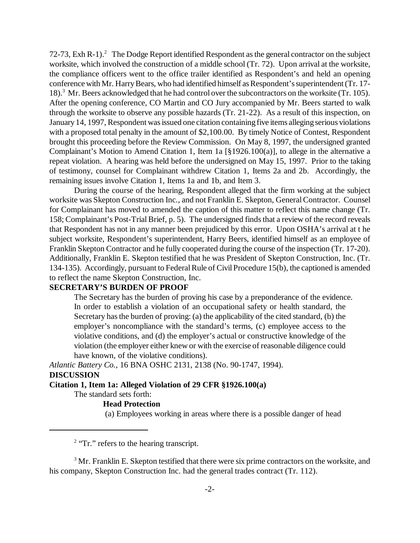72-73, Exh R-1).<sup>2</sup> The Dodge Report identified Respondent as the general contractor on the subject worksite, which involved the construction of a middle school (Tr. 72). Upon arrival at the worksite, the compliance officers went to the office trailer identified as Respondent's and held an opening conference with Mr. Harry Bears, who had identified himself as Respondent's superintendent (Tr. 17- 18).<sup>3</sup> Mr. Beers acknowledged that he had control over the subcontractors on the worksite (Tr. 105). After the opening conference, CO Martin and CO Jury accompanied by Mr. Beers started to walk through the worksite to observe any possible hazards (Tr. 21-22). As a result of this inspection, on January 14, 1997, Respondent was issued one citation containing five items alleging serious violations with a proposed total penalty in the amount of \$2,100.00. By timely Notice of Contest, Respondent brought this proceeding before the Review Commission. On May 8, 1997, the undersigned granted Complainant's Motion to Amend Citation 1, Item 1a [§1926.100(a)], to allege in the alternative a repeat violation. A hearing was held before the undersigned on May 15, 1997. Prior to the taking of testimony, counsel for Complainant withdrew Citation 1, Items 2a and 2b. Accordingly, the remaining issues involve Citation 1, Items 1a and 1b, and Item 3.

During the course of the hearing, Respondent alleged that the firm working at the subject worksite was Skepton Construction Inc., and not Franklin E. Skepton, General Contractor. Counsel for Complainant has moved to amended the caption of this matter to reflect this name change (Tr. 158; Complainant's Post-Trial Brief, p. 5). The undersigned finds that a review of the record reveals that Respondent has not in any manner been prejudiced by this error. Upon OSHA's arrival at t he subject worksite, Respondent's superintendent, Harry Beers, identified himself as an employee of Franklin Skepton Contractor and he fully cooperated during the course of the inspection (Tr. 17-20). Additionally, Franklin E. Skepton testified that he was President of Skepton Construction, Inc. (Tr. 134-135). Accordingly, pursuant to Federal Rule of Civil Procedure 15(b), the captioned is amended to reflect the name Skepton Construction, Inc.

## **SECRETARY'S BURDEN OF PROOF**

The Secretary has the burden of proving his case by a preponderance of the evidence. In order to establish a violation of an occupational safety or health standard, the Secretary has the burden of proving: (a) the applicability of the cited standard, (b) the employer's noncompliance with the standard's terms, (c) employee access to the violative conditions, and (d) the employer's actual or constructive knowledge of the violation (the employer either knew or with the exercise of reasonable diligence could have known, of the violative conditions).

*Atlantic Battery Co.,* 16 BNA OSHC 2131, 2138 (No. 90-1747, 1994). **DISCUSSION**

**Citation 1, Item 1a: Alleged Violation of 29 CFR §1926.100(a)**

The standard sets forth:

#### **Head Protection**

(a) Employees working in areas where there is a possible danger of head

 $3$  Mr. Franklin E. Skepton testified that there were six prime contractors on the worksite, and his company, Skepton Construction Inc. had the general trades contract (Tr. 112).

 $2$  "Tr." refers to the hearing transcript.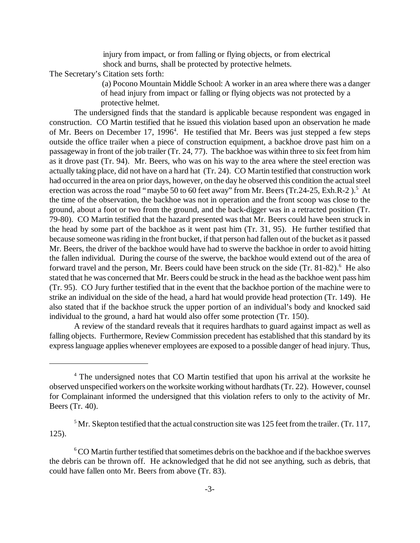injury from impact, or from falling or flying objects, or from electrical shock and burns, shall be protected by protective helmets.

The Secretary's Citation sets forth:

 (a) Pocono Mountain Middle School: A worker in an area where there was a danger of head injury from impact or falling or flying objects was not protected by a protective helmet.

The undersigned finds that the standard is applicable because respondent was engaged in construction. CO Martin testified that he issued this violation based upon an observation he made of Mr. Beers on December 17, 1996<sup>4</sup>. He testified that Mr. Beers was just stepped a few steps outside the office trailer when a piece of construction equipment, a backhoe drove past him on a passageway in front of the job trailer (Tr. 24, 77). The backhoe was within three to six feet from him as it drove past (Tr. 94). Mr. Beers, who was on his way to the area where the steel erection was actually taking place, did not have on a hard hat (Tr. 24). CO Martin testified that construction work had occurred in the area on prior days, however, on the day he observed this condition the actual steel erection was across the road "maybe 50 to 60 feet away" from Mr. Beers (Tr.24-25, Exh.R-2).<sup>5</sup> At the time of the observation, the backhoe was not in operation and the front scoop was close to the ground, about a foot or two from the ground, and the back-digger was in a retracted position (Tr. 79-80). CO Martin testified that the hazard presented was that Mr. Beers could have been struck in the head by some part of the backhoe as it went past him (Tr. 31, 95). He further testified that because someone was riding in the front bucket, if that person had fallen out of the bucket as it passed Mr. Beers, the driver of the backhoe would have had to swerve the backhoe in order to avoid hitting the fallen individual. During the course of the swerve, the backhoe would extend out of the area of forward travel and the person, Mr. Beers could have been struck on the side (Tr. 81-82).<sup>6</sup> He also stated that he was concerned that Mr. Beers could be struck in the head as the backhoe went pass him (Tr. 95). CO Jury further testified that in the event that the backhoe portion of the machine were to strike an individual on the side of the head, a hard hat would provide head protection (Tr. 149). He also stated that if the backhoe struck the upper portion of an individual's body and knocked said individual to the ground, a hard hat would also offer some protection (Tr. 150).

A review of the standard reveals that it requires hardhats to guard against impact as well as falling objects. Furthermore, Review Commission precedent has established that this standard by its express language applies whenever employees are exposed to a possible danger of head injury. Thus,

<sup>&</sup>lt;sup>4</sup> The undersigned notes that CO Martin testified that upon his arrival at the worksite he observed unspecified workers on the worksite working without hardhats (Tr. 22). However, counsel for Complainant informed the undersigned that this violation refers to only to the activity of Mr. Beers (Tr. 40).

 $<sup>5</sup>$  Mr. Skepton testified that the actual construction site was 125 feet from the trailer. (Tr. 117,</sup> 125).

<sup>&</sup>lt;sup>6</sup> CO Martin further testified that sometimes debris on the backhoe and if the backhoe swerves the debris can be thrown off. He acknowledged that he did not see anything, such as debris, that could have fallen onto Mr. Beers from above (Tr. 83).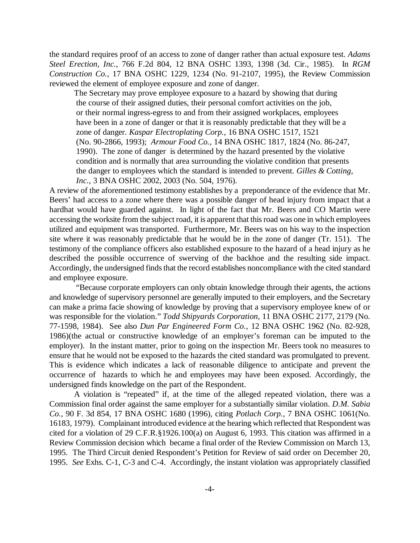the standard requires proof of an access to zone of danger rather than actual exposure test. *Adams Steel Erection, Inc.*, 766 F.2d 804, 12 BNA OSHC 1393, 1398 (3d. Cir., 1985). In *RGM Construction Co.*, 17 BNA OSHC 1229, 1234 (No. 91-2107, 1995), the Review Commission reviewed the element of employee exposure and zone of danger.

The Secretary may prove employee exposure to a hazard by showing that during the course of their assigned duties, their personal comfort activities on the job, or their normal ingress-egress to and from their assigned workplaces, employees have been in a zone of danger or that it is reasonably predictable that they will be a zone of danger. *Kaspar Electroplating Corp.*, 16 BNA OSHC 1517, 1521 (No. 90-2866, 1993); *Armour Food Co.*, 14 BNA OSHC 1817, 1824 (No. 86-247, 1990). The zone of danger is determined by the hazard presented by the violative condition and is normally that area surrounding the violative condition that presents the danger to employees which the standard is intended to prevent. *Gilles & Cotting, Inc.,* 3 BNA OSHC 2002, 2003 (No. 504, 1976).

A review of the aforementioned testimony establishes by a preponderance of the evidence that Mr. Beers' had access to a zone where there was a possible danger of head injury from impact that a hardhat would have guarded against. In light of the fact that Mr. Beers and CO Martin were accessing the worksite from the subject road, it is apparent that this road was one in which employees utilized and equipment was transported. Furthermore, Mr. Beers was on his way to the inspection site where it was reasonably predictable that he would be in the zone of danger (Tr. 151). The testimony of the compliance officers also established exposure to the hazard of a head injury as he described the possible occurrence of swerving of the backhoe and the resulting side impact. Accordingly, the undersigned finds that the record establishes noncompliance with the cited standard and employee exposure.

 "Because corporate employers can only obtain knowledge through their agents, the actions and knowledge of supervisory personnel are generally imputed to their employers, and the Secretary can make a prima facie showing of knowledge by proving that a supervisory employee knew of or was responsible for the violation."*Todd Shipyards Corporation*, 11 BNA OSHC 2177, 2179 (No. 77-1598, 1984). See also *Dun Par Engineered Form Co.*, 12 BNA OSHC 1962 (No. 82-928, 1986)(the actual or constructive knowledge of an employer's foreman can be imputed to the employer). In the instant matter, prior to going on the inspection Mr. Beers took no measures to ensure that he would not be exposed to the hazards the cited standard was promulgated to prevent. This is evidence which indicates a lack of reasonable diligence to anticipate and prevent the occurrence of hazards to which he and employees may have been exposed. Accordingly, the undersigned finds knowledge on the part of the Respondent.

A violation is "repeated" if, at the time of the alleged repeated violation, there was a Commission final order against the same employer for a substantially similar violation. *D.M. Sabia Co.,* 90 F. 3d 854, 17 BNA OSHC 1680 (1996), citing *Potlach Corp.,* 7 BNA OSHC 1061(No. 16183, 1979). Complainant introduced evidence at the hearing which reflected that Respondent was cited for a violation of 29 C.F.R.§1926.100(a) on August 6, 1993. This citation was affirmed in a Review Commission decision which became a final order of the Review Commission on March 13, 1995. The Third Circuit denied Respondent's Petition for Review of said order on December 20, 1995. *See* Exhs. C-1, C-3 and C-4. Accordingly, the instant violation was appropriately classified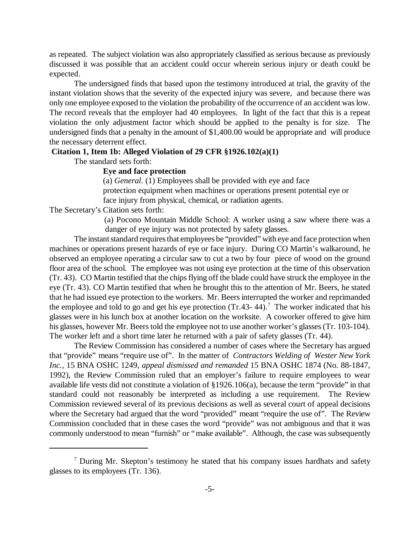as repeated. The subject violation was also appropriately classified as serious because as previously discussed it was possible that an accident could occur wherein serious injury or death could be expected.

The undersigned finds that based upon the testimony introduced at trial, the gravity of the instant violation shows that the severity of the expected injury was severe, and because there was only one employee exposed to the violation the probability of the occurrence of an accident was low. The record reveals that the employer had 40 employees. In light of the fact that this is a repeat violation the only adjustment factor which should be applied to the penalty is for size. The undersigned finds that a penalty in the amount of \$1,400.00 would be appropriate and will produce the necessary deterrent effect.

#### **Citation 1, Item 1b: Alleged Violation of 29 CFR §1926.102(a)(1)**

The standard sets forth:

### **Eye and face protection**

 (a) *General.* (1) Employees shall be provided with eye and face protection equipment when machines or operations present potential eye or face injury from physical, chemical, or radiation agents.

The Secretary's Citation sets forth:

 (a) Pocono Mountain Middle School: A worker using a saw where there was a danger of eye injury was not protected by safety glasses.

The instant standard requires that employees be "provided" with eye and face protection when machines or operations present hazards of eye or face injury. During CO Martin's walkaround, he observed an employee operating a circular saw to cut a two by four piece of wood on the ground floor area of the school. The employee was not using eye protection at the time of this observation (Tr. 43). CO Martin testified that the chips flying off the blade could have struck the employee in the eye (Tr. 43). CO Martin testified that when he brought this to the attention of Mr. Beers, he stated that he had issued eye protection to the workers. Mr. Beers interrupted the worker and reprimanded the employee and told to go and get his eye protection  $(Tr.43-44)$ .<sup>7</sup> The worker indicated that his glasses were in his lunch box at another location on the worksite. A coworker offered to give him his glasses, however Mr. Beers told the employee not to use another worker's glasses (Tr. 103-104). The worker left and a short time later he returned with a pair of safety glasses (Tr. 44).

The Review Commission has considered a number of cases where the Secretary has argued that "provide" means "require use of". In the matter of *Contractors Welding of Wester New York Inc.,* 15 BNA OSHC 1249, *appeal dismissed and remanded* 15 BNA OSHC 1874 (No. 88-1847, 1992), the Review Commission ruled that an employer's failure to require employees to wear available life vests did not constitute a violation of §1926.106(a), because the term "provide" in that standard could not reasonably be interpreted as including a use requirement. The Review Commission reviewed several of its previous decisions as well as several court of appeal decisions where the Secretary had argued that the word "provided" meant "require the use of". The Review Commission concluded that in these cases the word "provide" was not ambiguous and that it was commonly understood to mean "furnish" or "make available". Although, the case was subsequently

 $7$  During Mr. Skepton's testimony he stated that his company issues hardhats and safety glasses to its employees (Tr. 136).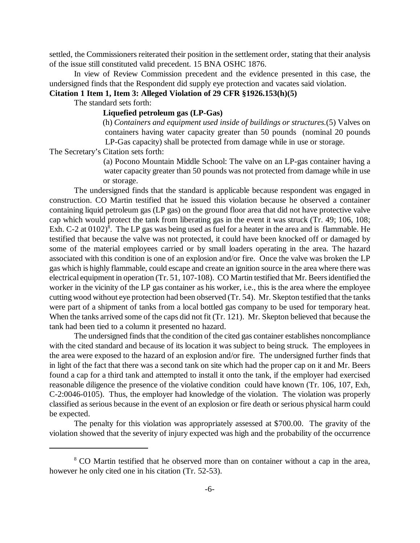settled, the Commissioners reiterated their position in the settlement order, stating that their analysis of the issue still constituted valid precedent. 15 BNA OSHC 1876.

In view of Review Commission precedent and the evidence presented in this case, the undersigned finds that the Respondent did supply eye protection and vacates said violation.

## **Citation 1 Item 1, Item 3: Alleged Violation of 29 CFR §1926.153(h)(5)**

The standard sets forth:

### **Liquefied petroleum gas (LP-Gas)**

 (h) *Containers and equipment used inside of buildings or structures.*(5) Valves on containers having water capacity greater than 50 pounds (nominal 20 pounds LP-Gas capacity) shall be protected from damage while in use or storage.

The Secretary's Citation sets forth:

 (a) Pocono Mountain Middle School: The valve on an LP-gas container having a water capacity greater than 50 pounds was not protected from damage while in use or storage.

The undersigned finds that the standard is applicable because respondent was engaged in construction. CO Martin testified that he issued this violation because he observed a container containing liquid petroleum gas (LP gas) on the ground floor area that did not have protective valve cap which would protect the tank from liberating gas in the event it was struck (Tr. 49; 106, 108; Exh. C-2 at 0102)<sup>8</sup>. The LP gas was being used as fuel for a heater in the area and is flammable. He testified that because the valve was not protected, it could have been knocked off or damaged by some of the material employees carried or by small loaders operating in the area. The hazard associated with this condition is one of an explosion and/or fire. Once the valve was broken the LP gas which is highly flammable, could escape and create an ignition source in the area where there was electrical equipment in operation (Tr. 51, 107-108). CO Martin testified that Mr. Beers identified the worker in the vicinity of the LP gas container as his worker, i.e., this is the area where the employee cutting wood without eye protection had been observed (Tr. 54). Mr. Skepton testified that the tanks were part of a shipment of tanks from a local bottled gas company to be used for temporary heat. When the tanks arrived some of the caps did not fit (Tr. 121). Mr. Skepton believed that because the tank had been tied to a column it presented no hazard.

The undersigned finds that the condition of the cited gas container establishes noncompliance with the cited standard and because of its location it was subject to being struck. The employees in the area were exposed to the hazard of an explosion and/or fire. The undersigned further finds that in light of the fact that there was a second tank on site which had the proper cap on it and Mr. Beers found a cap for a third tank and attempted to install it onto the tank, if the employer had exercised reasonable diligence the presence of the violative condition could have known (Tr. 106, 107, Exh, C-2:0046-0105). Thus, the employer had knowledge of the violation. The violation was properly classified as serious because in the event of an explosion or fire death or serious physical harm could be expected.

The penalty for this violation was appropriately assessed at \$700.00. The gravity of the violation showed that the severity of injury expected was high and the probability of the occurrence

<sup>&</sup>lt;sup>8</sup> CO Martin testified that he observed more than on container without a cap in the area, however he only cited one in his citation (Tr. 52-53).